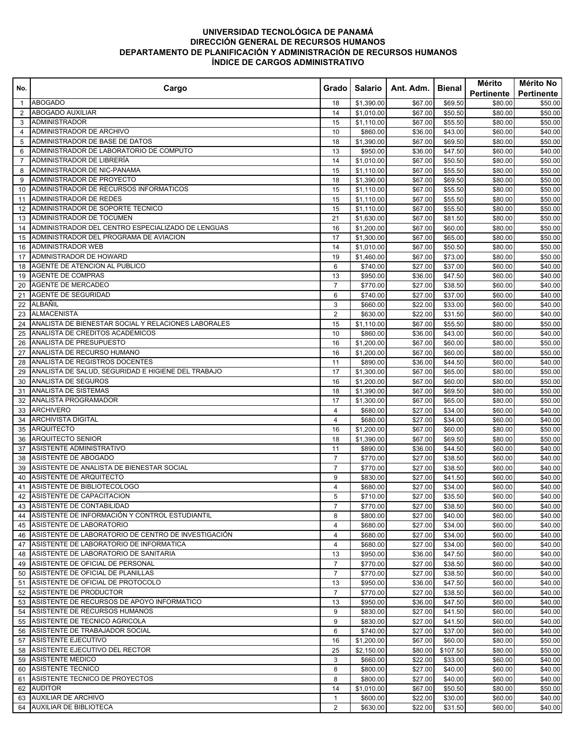## **UNIVERSIDAD TECNOLÓGICA DE PANAMÁ DIRECCIÓN GENERAL DE RECURSOS HUMANOS DEPARTAMENTO DE PLANIFICACIÓN Y ADMINISTRACIÓN DE RECURSOS HUMANOS ÍNDICE DE CARGOS ADMINISTRATIVO**

| No.            | Cargo                                                                                             | Grado I        | Salario              | Ant. Adm.          | Bienal             | Mérito<br>Pertinente | Mérito No<br>Pertinente |
|----------------|---------------------------------------------------------------------------------------------------|----------------|----------------------|--------------------|--------------------|----------------------|-------------------------|
| $\mathbf{1}$   | <b>ABOGADO</b>                                                                                    | 18             | \$1,390.00           | \$67.00            | \$69.50            | \$80.00              | \$50.00                 |
| $\overline{2}$ | <b>ABOGADO AUXILIAR</b>                                                                           | 14             | \$1,010.00           | \$67.00            | \$50.50            | \$80.00              | \$50.00                 |
| 3              | <b>ADMINISTRADOR</b>                                                                              | 15             | \$1,110.00           | \$67.00            | \$55.50            | \$80.00              | \$50.00                 |
| 4              | ADMINISTRADOR DE ARCHIVO                                                                          | 10             | \$860.00             | \$36.00            | \$43.00            | \$60.00              | \$40.00                 |
| 5              | ADMINISTRADOR DE BASE DE DATOS                                                                    | 18             | \$1,390.00           | \$67.00            | \$69.50            | \$80.00              | \$50.00                 |
| 6              | ADMINISTRADOR DE LABORATORIO DE COMPUTO                                                           | 13             | \$950.00             | \$36.00            | \$47.50            | \$60.00              | \$40.00                 |
| 7              | ADMINISTRADOR DE LIBRERÍA                                                                         | 14             | \$1,010.00           | \$67.00            | \$50.50            | \$80.00              | \$50.00                 |
| 8              | ADMINISTRADOR DE NIC-PANAMA                                                                       | 15             | \$1,110.00           | \$67.00            | \$55.50            | \$80.00              | \$50.00                 |
| 9              | ADMINISTRADOR DE PROYECTO                                                                         | 18             | \$1,390.00           | \$67.00            | \$69.50            | \$80.00              | \$50.00                 |
| 10             | ADMINISTRADOR DE RECURSOS INFORMATICOS                                                            | 15             | \$1,110.00           | \$67.00            | \$55.50            | \$80.00              | \$50.00                 |
| 11             | ADMINISTRADOR DE REDES                                                                            | 15             | \$1,110.00           | \$67.00            | \$55.50            | \$80.00              | \$50.00                 |
| 12             | ADMINISTRADOR DE SOPORTE TECNICO                                                                  | 15             | \$1,110.00           | \$67.00            | \$55.50            | \$80.00              | \$50.00                 |
| 13             | ADMINISTRADOR DE TOCUMEN                                                                          | 21             | \$1,630.00           | \$67.00            | \$81.50            | \$80.00              | \$50.00                 |
| 14             | ADMINISTRADOR DEL CENTRO ESPECIALIZADO DE LENGUAS                                                 | 16             | \$1,200.00           | \$67.00            | \$60.00            | \$80.00              | \$50.00                 |
| 15             | ADMINISTRADOR DEL PROGRAMA DE AVIACION                                                            | 17             | \$1,300.00           | \$67.00            | \$65.00            | \$80.00              | \$50.00                 |
| 16             | <b>ADMINISTRADOR WEB</b>                                                                          | 14             | \$1,010.00           | \$67.00            | \$50.50            | \$80.00              | \$50.00                 |
| 17             | ADMNISTRADOR DE HOWARD                                                                            | 19             | \$1,460.00           | \$67.00            | \$73.00            | \$80.00              | \$50.00                 |
| 18             | AGENTE DE ATENCION AL PUBLICO                                                                     | 6              | \$740.00             | \$27.00            | \$37.00            | \$60.00              | \$40.00                 |
| 19             | <b>AGENTE DE COMPRAS</b>                                                                          | 13             | \$950.00             | \$36.00            | \$47.50            | \$60.00              | \$40.00                 |
| 20             | <b>AGENTE DE MERCADEO</b>                                                                         | $\overline{7}$ | \$770.00             | \$27.00            | \$38.50            | \$60.00              | \$40.00                 |
| 21             | AGENTE DE SEGURIDAD                                                                               | 6              | \$740.00             | \$27.00            | \$37.00            | \$60.00              | \$40.00                 |
| 22             | ALBAÑIL                                                                                           | 3              | \$660.00             | \$22.00            | \$33.00            | \$60.00              | \$40.00                 |
| 23             | <b>ALMACENISTA</b>                                                                                | $\mathbf{2}$   | \$630.00             | \$22.00            | \$31.50            | \$60.00              | \$40.00                 |
| 24             | ANALISTA DE BIENESTAR SOCIAL Y RELACIONES LABORALES                                               | 15             | \$1,110.00           | \$67.00            | \$55.50            | \$80.00              | \$50.00                 |
| 25             | ANALISTA DE CREDITOS ACADEMICOS                                                                   | 10             | \$860.00             | \$36.00            | \$43.00            | \$60.00              | \$40.00                 |
| 26             | ANALISTA DE PRESUPUESTO                                                                           | 16             | \$1,200.00           | \$67.00            | \$60.00            | \$80.00              | \$50.00                 |
| 27             | ANALISTA DE RECURSO HUMANO                                                                        | 16             | \$1,200.00           | \$67.00            | \$60.00            | \$80.00              | \$50.00                 |
| 28             | ANALISTA DE REGISTROS DOCENTES                                                                    | 11             | \$890.00             | \$36.00            | \$44.50            | \$60.00              | \$40.00                 |
| 29             | ANALISTA DE SALUD, SEGURIDAD E HIGIENE DEL TRABAJO                                                | 17             | \$1,300.00           | \$67.00            | \$65.00            | \$80.00              | \$50.00                 |
| 30             | ANALISTA DE SEGUROS                                                                               | 16             | \$1,200.00           | \$67.00            | \$60.00            | \$80.00              | \$50.00                 |
| 31             | <b>ANALISTA DE SISTEMAS</b>                                                                       | 18             | \$1,390.00           | \$67.00            | \$69.50            | \$80.00              | \$50.00                 |
| 32             | ANALISTA PROGRAMADOR                                                                              | 17             | \$1,300.00           | \$67.00            | \$65.00            | \$80.00              | \$50.00                 |
| 33             | <b>ARCHIVERO</b>                                                                                  | 4              | \$680.00             | \$27.00            | \$34.00            | \$60.00              | \$40.00                 |
| 34             | <b>ARCHIVISTA DIGITAL</b>                                                                         | 4              | \$680.00             | \$27.00            | \$34.00            | \$60.00              | \$40.00                 |
| 35             | <b>ARQUITECTO</b>                                                                                 | 16             | \$1,200.00           | \$67.00            | \$60.00            | \$80.00              | \$50.00                 |
| 36             | <b>ARQUITECTO SENIOR</b>                                                                          | 18             | \$1,390.00           | \$67.00            | \$69.50            | \$80.00              | \$50.00                 |
| 37             | ASISTENTE ADMINISTRATIVO                                                                          | 11             | \$890.00             | \$36.00            | \$44.50            | \$60.00              | \$40.00                 |
| 38             | ASISTENTE DE ABOGADO                                                                              | $\overline{7}$ | \$770.00             | \$27.00            | \$38.50            | \$60.00              | \$40.00                 |
| 39             | ASISTENTE DE ANALISTA DE BIENESTAR SOCIAL                                                         | $\overline{7}$ | \$770.00             | \$27.00            | \$38.50            | \$60.00              | \$40.00                 |
| 40             | ASISTENTE DE ARQUITECTO                                                                           | 9              | \$830.00             | \$27.00            | \$41.50            | \$60.00              | \$40.00                 |
| 41             | ASISTENTE DE BIBLIOTECOLOGO                                                                       | 4              | \$680.00             | \$27.00            | \$34.00            | \$60.00              | \$40.00                 |
|                | 42 ASISTENTE DE CAPACITACION                                                                      | 5              | \$710.00             | \$27.00            | \$35.50            | \$60.00              | \$40.00                 |
|                | 43 ASISTENTE DE CONTABILIDAD                                                                      | 7              | \$770.00             | \$27.00            | \$38.50            | \$60.00              | \$40.00                 |
| 44             | ASISTENTE DE INFORMACIÓN Y CONTROL ESTUDIANTIL<br>45 ASISTENTE DE LABORATORIO                     | 8              | \$800.00             | \$27.00            | \$40.00            | \$60.00              | \$40.00                 |
|                |                                                                                                   | 4              | \$680.00             | \$27.00            | \$34.00            | \$60.00              | \$40.00                 |
|                | 46 ASISTENTE DE LABORATORIO DE CENTRO DE INVESTIGACIÓN<br>ASISTENTE DE LABORATORIO DE INFORMATICA | 4<br>4         | \$680.00             | \$27.00<br>\$27.00 | \$34.00            | \$60.00              | \$40.00<br>\$40.00      |
| 47             | 48 ASISTENTE DE LABORATORIO DE SANITARIA                                                          |                | \$680.00             |                    | \$34.00            | \$60.00              |                         |
|                | 49 ASISTENTE DE OFICIAL DE PERSONAL                                                               | 13<br>7        | \$950.00             | \$36.00            | \$47.50<br>\$38.50 | \$60.00              | \$40.00                 |
| 50             | ASISTENTE DE OFICIAL DE PLANILLAS                                                                 | $\overline{7}$ | \$770.00<br>\$770.00 | \$27.00<br>\$27.00 | \$38.50            | \$60.00<br>\$60.00   | \$40.00<br>\$40.00      |
| 51             | ASISTENTE DE OFICIAL DE PROTOCOLO                                                                 | 13             | \$950.00             | \$36.00            | \$47.50            | \$60.00              | \$40.00                 |
|                | 52 ASISTENTE DE PRODUCTOR                                                                         | $\overline{7}$ | \$770.00             | \$27.00            | \$38.50            | \$60.00              | \$40.00                 |
|                | 53 ASISTENTE DE RECURSOS DE APOYO INFORMATICO                                                     | 13             | \$950.00             | \$36.00            | \$47.50            | \$60.00              | \$40.00                 |
| 54             | ASISTENTE DE RECURSOS HUMANOS                                                                     | 9              | \$830.00             | \$27.00            | \$41.50            | \$60.00              | \$40.00                 |
|                | 55 ASISTENTE DE TECNICO AGRICOLA                                                                  | 9              | \$830.00             | \$27.00            | \$41.50            | \$60.00              | \$40.00                 |
| 56             | ASISTENTE DE TRABAJADOR SOCIAL                                                                    | 6              | \$740.00             | \$27.00            | \$37.00            | \$60.00              | \$40.00                 |
| 57             | <b>ASISTENTE EJECUTIVO</b>                                                                        | 16             | \$1,200.00           | \$67.00            | \$60.00            | \$80.00              | \$50.00                 |
|                | 58 ASISTENTE EJECUTIVO DEL RECTOR                                                                 | 25             | \$2,150.00           | \$80.00            | \$107.50           | \$80.00              | \$50.00                 |
|                | 59 ASISTENTE MEDICO                                                                               | 3              | \$660.00             | \$22.00            | \$33.00            | \$60.00              | \$40.00                 |
| 60             | <b>ASISTENTE TECNICO</b>                                                                          | 8              | \$800.00             | \$27.00            | \$40.00            | \$60.00              | \$40.00                 |
| 61             | ASISTENTE TECNICO DE PROYECTOS                                                                    | 8              | \$800.00             | \$27.00            | \$40.00            | \$60.00              | \$40.00                 |
|                | 62 AUDITOR                                                                                        | 14             | \$1,010.00           | \$67.00            | \$50.50            | \$80.00              | \$50.00                 |
|                | 63 AUXILIAR DE ARCHIVO                                                                            | $\mathbf{1}$   | \$600.00             | \$22.00            | \$30.00            | \$60.00              | \$40.00                 |
| 64             | <b>AUXILIAR DE BIBLIOTECA</b>                                                                     | $\overline{2}$ | \$630.00             | \$22.00            | \$31.50            | \$60.00              | \$40.00                 |
|                |                                                                                                   |                |                      |                    |                    |                      |                         |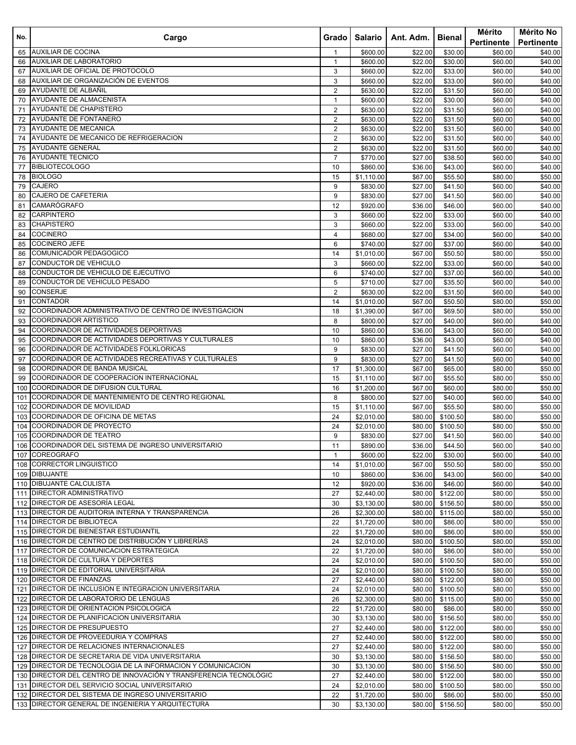| No.      | Cargo                                                            | Grado                            | Salario                  | Ant. Adm.           | <b>Bienal</b>        | Mérito<br>Pertinente | Mérito No<br><b>Pertinente</b> |
|----------|------------------------------------------------------------------|----------------------------------|--------------------------|---------------------|----------------------|----------------------|--------------------------------|
| 65       | <b>AUXILIAR DE COCINA</b>                                        | 1                                | \$600.00                 | \$22.00             | \$30.00              | \$60.00              | \$40.00                        |
| 66       | <b>AUXILIAR DE LABORATORIO</b>                                   | $\mathbf{1}$                     | \$600.00                 | \$22.00             | \$30.00              | \$60.00              | \$40.00                        |
| 67       | AUXILIAR DE OFICIAL DE PROTOCOLO                                 | 3                                | \$660.00                 | $\overline{$}22.00$ | \$33.00              | \$60.00              | \$40.00                        |
| 68       | AUXILIAR DE ORGANIZACIÓN DE EVENTOS                              | 3                                | \$660.00                 | \$22.00             | \$33.00              | \$60.00              | \$40.00                        |
| 69       | AYUDANTE DE ALBAÑIL                                              | $\overline{c}$                   | \$630.00                 | \$22.00             | \$31.50              | \$60.00              | \$40.00                        |
| 70       | AYUDANTE DE ALMACENISTA                                          | $\mathbf{1}$                     | \$600.00                 | \$22.00             | \$30.00              | \$60.00              | \$40.00                        |
| 71       | AYUDANTE DE CHAPISTERO                                           | $\overline{2}$                   | \$630.00                 | \$22.00             | \$31.50              | \$60.00              | \$40.00                        |
| 72       | AYUDANTE DE FONTANERO                                            | $\mathbf{2}$                     | \$630.00                 | \$22.00             | \$31.50              | \$60.00              | \$40.00                        |
| 73       | AYUDANTE DE MECANICA<br>AYUDANTE DE MECANICO DE REFRIGERACION    | 2                                | \$630.00                 | \$22.00             | \$31.50              | \$60.00              | \$40.00                        |
| 74<br>75 | <b>AYUDANTE GENERAL</b>                                          | $\overline{2}$<br>$\overline{2}$ | \$630.00<br>\$630.00     | \$22.00<br>\$22.00  | \$31.50              | \$60.00              | \$40.00<br>\$40.00             |
| 76       | <b>AYUDANTE TECNICO</b>                                          | $\overline{7}$                   | \$770.00                 | \$27.00             | \$31.50<br>\$38.50   | \$60.00<br>\$60.00   | \$40.00                        |
| 77       | <b>BIBLIOTECOLOGO</b>                                            | 10                               | \$860.00                 | \$36.00             | \$43.00              | \$60.00              | \$40.00                        |
| 78       | <b>BIOLOGO</b>                                                   | 15                               | \$1,110.00               | \$67.00             | \$55.50              | \$80.00              | \$50.00                        |
| 79       | <b>CAJERO</b>                                                    | 9                                | \$830.00                 | \$27.00             | \$41.50              | \$60.00              | \$40.00                        |
| 80       | CAJERO DE CAFETERIA                                              | 9                                | \$830.00                 | \$27.00             | \$41.50              | \$60.00              | \$40.00                        |
| 81       | <b>CAMARÓGRAFO</b>                                               | 12                               | \$920.00                 | \$36.00             | \$46.00              | \$60.00              | \$40.00                        |
| 82       | <b>CARPINTERO</b>                                                | 3                                | \$660.00                 | \$22.00             | \$33.00              | \$60.00              | \$40.00                        |
| 83       | <b>CHAPISTERO</b>                                                | 3                                | \$660.00                 | \$22.00             | \$33.00              | \$60.00              | \$40.00                        |
| 84       | <b>COCINERO</b>                                                  | 4                                | \$680.00                 | \$27.00             | \$34.00              | \$60.00              | \$40.00                        |
| 85       | <b>COCINERO JEFE</b>                                             | 6                                | \$740.00                 | \$27.00             | \$37.00              | \$60.00              | \$40.00                        |
| 86       | COMUNICADOR PEDAGOGICO                                           | 14                               | \$1,010.00               | \$67.00             | \$50.50              | \$80.00              | \$50.00                        |
| 87       | CONDUCTOR DE VEHICULO                                            | 3                                | \$660.00                 | \$22.00             | \$33.00              | \$60.00              | \$40.00                        |
| 88       | CONDUCTOR DE VEHICULO DE EJECUTIVO                               | 6                                | \$740.00                 | \$27.00             | \$37.00              | \$60.00              | \$40.00                        |
| 89       | CONDUCTOR DE VEHICULO PESADO                                     | 5                                | \$710.00                 | \$27.00             | \$35.50              | \$60.00              | \$40.00                        |
| 90       | <b>CONSERJE</b>                                                  | $\overline{2}$                   | \$630.00                 | \$22.00             | \$31.50              | \$60.00              | \$40.00                        |
| 91       | <b>CONTADOR</b>                                                  | 14                               | \$1,010.00               | \$67.00             | \$50.50              | \$80.00              | \$50.00                        |
| 92       | COORDINADOR ADMINISTRATIVO DE CENTRO DE INVESTIGACION            | 18                               | \$1,390.00               | \$67.00             | \$69.50              | \$80.00              | \$50.00                        |
| 93       | <b>COORDINADOR ARTISTICO</b>                                     | 8                                | \$800.00                 | \$27.00             | \$40.00              | \$60.00              | \$40.00                        |
| 94       | COORDINADOR DE ACTIVIDADES DEPORTIVAS                            | 10                               | \$860.00                 | \$36.00             | \$43.00              | \$60.00              | \$40.00                        |
| 95       | COORDINADOR DE ACTIVIDADES DEPORTIVAS Y CULTURALES               | 10                               | \$860.00                 | \$36.00             | \$43.00              | \$60.00              | \$40.00                        |
| 96       | COORDINADOR DE ACTIVIDADES FOLKLORICAS                           | 9                                | \$830.00                 | \$27.00             | \$41.50              | \$60.00              | \$40.00                        |
| 97       | COORDINADOR DE ACTIVIDADES RECREATIVAS Y CULTURALES              | 9                                | \$830.00                 | \$27.00             | \$41.50              | \$60.00              | \$40.00                        |
| 98       | COORDINADOR DE BANDA MUSICAL                                     | 17                               | \$1,300.00               | \$67.00             | \$65.00              | \$80.00              | \$50.00                        |
| 99       | COORDINADOR DE COOPERACION INTERNACIONAL                         | 15                               | \$1,110.00               | \$67.00             | \$55.50              | \$80.00              | \$50.00                        |
| 100      | COORDINADOR DE DIFUSION CULTURAL                                 | 16                               | \$1,200.00               | \$67.00             | \$60.00              | \$80.00              | \$50.00                        |
| 101      | COORDINADOR DE MANTENIMIENTO DE CENTRO REGIONAL                  | 8                                | \$800.00                 | \$27.00             | \$40.00              | \$60.00              | \$40.00                        |
| 102      | COORDINADOR DE MOVILIDAD                                         | 15                               | \$1,110.00               | \$67.00             | \$55.50              | \$80.00              | \$50.00                        |
| 103      | COORDINADOR DE OFICINA DE METAS                                  | 24                               | \$2,010.00               | \$80.00             | \$100.50             | \$80.00              | \$50.00                        |
| 104      | COORDINADOR DE PROYECTO                                          | 24                               | \$2,010.00               | \$80.00             | \$100.50             | \$80.00              | \$50.00                        |
| 105      | <b>COORDINADOR DE TEATRO</b>                                     | 9                                | \$830.00                 | \$27.00             | \$41.50              | \$60.00              | \$40.00                        |
|          | 106 COORDINADOR DEL SISTEMA DE INGRESO UNIVERSITARIO             | 11                               | \$890.00                 | \$36.00             | \$44.50              | \$60.00              | \$40.00                        |
|          | 107 COREOGRAFO                                                   | $\mathbf{1}$                     | \$600.00                 | \$22.00             | \$30.00              | \$60.00              | \$40.00                        |
|          | 108 CORRECTOR LINGUISTICO                                        | 14                               | \$1,010.00               | \$67.00             | \$50.50              | \$80.00              | \$50.00                        |
|          | 109 DIBUJANTE                                                    | 10                               | \$860.00                 | \$36.00             | \$43.00              | \$60.00              | \$40.00                        |
|          | 110 DIBUJANTE CALCULISTA<br>111 DIRECTOR ADMINISTRATIVO          | 12<br>27                         | \$920.00                 | \$36.00<br>\$80.00  | \$46.00<br>\$122.00  | \$60.00              | \$40.00                        |
|          | 112 DIRECTOR DE ASESORÍA LEGAL                                   |                                  | \$2,440.00               |                     |                      | \$80.00              | \$50.00                        |
|          | 113 DIRECTOR DE AUDITORIA INTERNA Y TRANSPARENCIA                | 30<br>26                         | \$3,130.00<br>\$2,300.00 | \$80.00<br>\$80.00  | \$156.50<br>\$115.00 | \$80.00<br>\$80.00   | \$50.00<br>\$50.00             |
|          | 114 DIRECTOR DE BIBLIOTECA                                       | 22                               | \$1,720.00               | \$80.00             | \$86.00              | \$80.00              | \$50.00                        |
|          | 115 DIRECTOR DE BIENESTAR ESTUDIANTIL                            | 22                               | \$1,720.00               | \$80.00             | \$86.00              | \$80.00              | \$50.00                        |
|          | 116 DIRECTOR DE CENTRO DE DISTRIBUCIÓN Y LIBRERÍAS               | 24                               | \$2,010.00               | \$80.00             | \$100.50             | \$80.00              | \$50.00                        |
|          | 117 DIRECTOR DE COMUNICACION ESTRATEGICA                         | 22                               | \$1,720.00               | \$80.00             | \$86.00              | \$80.00              | \$50.00                        |
|          | 118 DIRECTOR DE CULTURA Y DEPORTES                               | 24                               | \$2,010.00               | \$80.00             | \$100.50             | \$80.00              | \$50.00                        |
|          | 119 DIRECTOR DE EDITORIAL UNIVERSITARIA                          | 24                               | \$2,010.00               | \$80.00             | \$100.50             | \$80.00              | \$50.00                        |
|          | 120 DIRECTOR DE FINANZAS                                         | 27                               | \$2,440.00               | \$80.00             | \$122.00             | \$80.00              | \$50.00                        |
|          | 121 DIRECTOR DE INCLUSION E INTEGRACION UNIVERSITARIA            | 24                               | \$2,010.00               | \$80.00             | \$100.50             | \$80.00              | \$50.00                        |
|          | 122 DIRECTOR DE LABORATORIO DE LENGUAS                           | 26                               | \$2,300.00               | \$80.00             | \$115.00             | \$80.00              | \$50.00                        |
|          | 123 DIRECTOR DE ORIENTACION PSICOLOGICA                          | 22                               | \$1,720.00               | \$80.00             | \$86.00              | \$80.00              | \$50.00                        |
|          | 124 DIRECTOR DE PLANIFICACION UNIVERSITARIA                      | 30                               | \$3,130.00               | \$80.00             | \$156.50             | \$80.00              | \$50.00                        |
|          | 125 DIRECTOR DE PRESUPUESTO                                      | 27                               | \$2,440.00               | \$80.00             | \$122.00             | \$80.00              | \$50.00                        |
|          | 126 DIRECTOR DE PROVEEDURIA Y COMPRAS                            | 27                               | \$2,440.00               | \$80.00             | \$122.00             | \$80.00              | \$50.00                        |
| 127      | DIRECTOR DE RELACIONES INTERNACIONALES                           | 27                               | \$2,440.00               | \$80.00             | \$122.00             | \$80.00              | \$50.00                        |
|          | 128 DIRECTOR DE SECRETARIA DE VIDA UNIVERSITARIA                 | 30                               | \$3,130.00               | \$80.00             | \$156.50             | \$80.00              | \$50.00                        |
|          | 129 DIRECTOR DE TECNOLOGIA DE LA INFORMACION Y COMUNICACION      | 30                               | \$3,130.00               | \$80.00             | \$156.50             | \$80.00              | \$50.00                        |
|          | 130 DIRECTOR DEL CENTRO DE INNOVACIÓN Y TRANSFERENCIA TECNOLÓGIC | 27                               | \$2,440.00               | \$80.00             | \$122.00             | \$80.00              | \$50.00                        |
|          | 131 DIRECTOR DEL SERVICIO SOCIAL UNIVERSITARIO                   | 24                               | \$2,010.00               | \$80.00             | \$100.50             | \$80.00              | \$50.00                        |
|          | 132 DIRECTOR DEL SISTEMA DE INGRESO UNIVERSITARIO                | 22                               | \$1,720.00               | \$80.00             | \$86.00              | \$80.00              | \$50.00                        |
|          | 133 DIRECTOR GENERAL DE INGENIERIA Y ARQUITECTURA                | 30                               | \$3,130.00               | \$80.00             | \$156.50             | \$80.00              | \$50.00                        |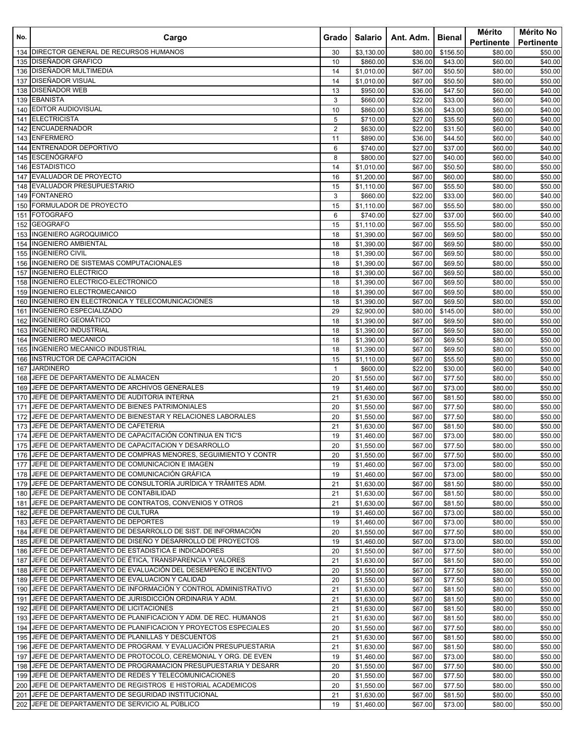| No. | Cargo                                                                                                | Grado I        | Salario                  | Ant. Adm.          | Bienal             | Mérito<br>Pertinente | Mérito No<br>Pertinente |
|-----|------------------------------------------------------------------------------------------------------|----------------|--------------------------|--------------------|--------------------|----------------------|-------------------------|
|     | 134 DIRECTOR GENERAL DE RECURSOS HUMANOS                                                             | 30             | \$3,130.00               | \$80.00            | \$156.50           | \$80.00              | \$50.00                 |
|     | 135 DISENADOR GRAFICO                                                                                | 10             | \$860.00                 | \$36.00            | \$43.00            | \$60.00              | \$40.00                 |
|     | 136 DISEÑADOR MULTIMEDIA                                                                             | 14             | \$1,010.00               | \$67.00            | \$50.50            | \$80.00              | \$50.00                 |
| 137 | <b>DISEÑADOR VISUAL</b>                                                                              | 14             | \$1,010.00               | \$67.00            | \$50.50            | \$80.00              | \$50.00                 |
|     | 138 DISEÑADOR WEB                                                                                    | 13             | \$950.00                 | \$36.00            | \$47.50            | \$60.00              | \$40.00                 |
|     | 139 EBANISTA                                                                                         | 3              | \$660.00                 | \$22.00            | \$33.00            | \$60.00              | \$40.00                 |
| 140 | <b>EDITOR AUDIOVISUAL</b>                                                                            | 10             | \$860.00                 | \$36.00            | \$43.00            | \$60.00              | \$40.00                 |
| 141 | <b>ELECTRICISTA</b>                                                                                  | 5              | \$710.00                 | \$27.00            | \$35.50            | \$60.00              | \$40.00                 |
| 142 | <b>ENCUADERNADOR</b>                                                                                 | $\overline{2}$ | \$630.00                 | \$22.00            | \$31.50            | \$60.00              | \$40.00                 |
|     | 143 ENFERMERO                                                                                        | 11             | \$890.00                 | \$36.00            | \$44.50            | \$60.00              | \$40.00                 |
| 144 | <b>ENTRENADOR DEPORTIVO</b>                                                                          | 6              | \$740.00                 | \$27.00            | \$37.00            | \$60.00              | \$40.00                 |
|     | 145 ESCENÓGRAFO                                                                                      | 8              | \$800.00                 | \$27.00            | \$40.00            | \$60.00              | \$40.00                 |
| 146 | <b>ESTADISTICO</b>                                                                                   | 14             | \$1,010.00               | \$67.00            | \$50.50            | \$80.00              | \$50.00                 |
| 147 | EVALUADOR DE PROYECTO                                                                                | 16             | \$1,200.00               | \$67.00            | \$60.00            | \$80.00              | \$50.00                 |
|     | 148 EVALUADOR PRESUPUESTARIO                                                                         | 15             | \$1,110.00               | \$67.00            | \$55.50            | \$80.00              | \$50.00                 |
|     | 149 FONTANERO<br>FORMULADOR DE PROYECTO                                                              | 3<br>15        | \$660.00                 | \$22.00<br>\$67.00 | \$33.00            | \$60.00              | \$40.00<br>\$50.00      |
| 150 | 151 FOTOGRAFO                                                                                        | 6              | \$1,110.00<br>\$740.00   | \$27.00            | \$55.50<br>\$37.00 | \$80.00<br>\$60.00   | \$40.00                 |
|     | 152 GEOGRAFO                                                                                         |                |                          | \$67.00            |                    |                      |                         |
|     | 153 INGENIERO AGROQUIMICO                                                                            | 15<br>18       | \$1,110.00<br>\$1,390.00 | \$67.00            | \$55.50<br>\$69.50 | \$80.00<br>\$80.00   | \$50.00<br>\$50.00      |
| 154 | <b>INGENIERO AMBIENTAL</b>                                                                           | 18             | \$1,390.00               | \$67.00            | \$69.50            | \$80.00              | \$50.00                 |
|     | 155 INGENIERO CIVIL                                                                                  | 18             | \$1,390.00               | \$67.00            | \$69.50            | \$80.00              | \$50.00                 |
|     | 156 INGENIERO DE SISTEMAS COMPUTACIONALES                                                            | 18             | \$1,390.00               | \$67.00            | \$69.50            | \$80.00              | \$50.00                 |
| 157 | <b>INGENIERO ELECTRICO</b>                                                                           | 18             | \$1,390.00               | \$67.00            | \$69.50            | \$80.00              | \$50.00                 |
|     | 158 INGENIERO ELECTRICO-ELECTRONICO                                                                  | 18             | \$1,390.00               | \$67.00            | \$69.50            | \$80.00              | \$50.00                 |
|     | 159 INGENIERO ELECTROMECANICO                                                                        | 18             | \$1,390.00               | \$67.00            | \$69.50            | \$80.00              | \$50.00                 |
| 160 | INGENIERO EN ELECTRONICA Y TELECOMUNICACIONES                                                        | 18             | \$1,390.00               | \$67.00            | \$69.50            | \$80.00              | \$50.00                 |
| 161 | <b>INGENIERO ESPECIALIZADO</b>                                                                       | 29             | \$2,900.00               | \$80.00            | \$145.00           | \$80.00              | \$50.00                 |
|     | 162 INGENIERO GEOMÁTICO                                                                              | 18             | \$1,390.00               | \$67.00            | \$69.50            | \$80.00              | \$50.00                 |
|     | 163 INGENIERO INDUSTRIAL                                                                             | 18             | \$1,390.00               | \$67.00            | \$69.50            | \$80.00              | \$50.00                 |
| 164 | <b>INGENIERO MECANICO</b>                                                                            | 18             | \$1,390.00               | \$67.00            | \$69.50            | \$80.00              | \$50.00                 |
| 165 | INGENIERO MECANICO INDUSTRIAL                                                                        | 18             | \$1,390.00               | \$67.00            | \$69.50            | \$80.00              | \$50.00                 |
| 166 | INSTRUCTOR DE CAPACITACION                                                                           | 15             | \$1,110.00               | \$67.00            | \$55.50            | \$80.00              | \$50.00                 |
| 167 | <b>JARDINERO</b>                                                                                     | $\mathbf{1}$   | \$600.00                 | \$22.00            | \$30.00            | \$60.00              | \$40.00                 |
|     | 168 JEFE DE DEPARTAMENTO DE ALMACEN                                                                  | 20             | \$1,550.00               | \$67.00            | \$77.50            | \$80.00              | \$50.00                 |
|     | 169 JEFE DE DEPARTAMENTO DE ARCHIVOS GENERALES                                                       | 19             | \$1,460.00               | \$67.00            | \$73.00            | \$80.00              | \$50.00                 |
| 170 | JEFE DE DEPARTAMENTO DE AUDITORIA INTERNA                                                            | 21             | \$1,630.00               | \$67.00            | \$81.50            | \$80.00              | \$50.00                 |
| 171 | JEFE DE DEPARTAMENTO DE BIENES PATRIMONIALES                                                         | 20             | \$1,550.00               | \$67.00            | \$77.50            | \$80.00              | \$50.00                 |
| 172 | JEFE DE DEPARTAMENTO DE BIENESTAR Y RELACIONES LABORALES                                             | 20             | \$1,550.00               | \$67.00            | \$77.50            | \$80.00              | \$50.00                 |
|     | 173 JEFE DE DEPARTAMENTO DE CAFETERIA                                                                | 21             | \$1,630.00               | \$67.00            | \$81.50            | \$80.00              | \$50.00                 |
|     | 174 JEFE DE DEPARTAMENTO DE CAPACITACIÓN CONTINUA EN TIC'S                                           | 19             | \$1,460.00               | \$67.00            | \$73.00            | \$80.00              | \$50.00                 |
|     | 175 JEFE DE DEPARTAMENTO DE CAPACITACION Y DESARROLLO                                                | 20             | \$1,550.00               | \$67.00            | \$77.50            | \$80.00              | \$50.00                 |
|     | 176 JJEFE DE DEPARTAMENTO DE COMPRAS MENORES, SEGUIMIENTO Y CONTR                                    | 20             | \$1,550.00               | \$67.00            | \$77.50            | \$80.00              | \$50.00                 |
|     | 177 JEFE DE DEPARTAMENTO DE COMUNICACION E IMAGEN                                                    | 19             | \$1,460.00               | \$67.00            | \$73.00            | \$80.00              | \$50.00                 |
|     | 178 JEFE DE DEPARTAMENTO DE COMUNICACIÓN GRÁFICA                                                     | 19             | \$1,460.00               | \$67.00            | \$73.00            | \$80.00              | \$50.00                 |
|     | 179 JEFE DE DEPARTAMENTO DE CONSULTORÍA JURÍDICA Y TRÁMITES ADM.                                     | 21             | \$1,630.00               | \$67.00            | \$81.50            | \$80.00              | \$50.00                 |
|     | 180 JEFE DE DEPARTAMENTO DE CONTABILIDAD<br>181 JEFE DE DEPARTAMENTO DE CONTRATOS, CONVENIOS Y OTROS | 21<br>21       | \$1,630.00               | \$67.00<br>\$67.00 | \$81.50<br>\$81.50 | \$80.00<br>\$80.00   | \$50.00                 |
|     | 182 JEFE DE DEPARTAMENTO DE CULTURA                                                                  | 19             | \$1,630.00<br>\$1,460.00 | \$67.00            | \$73.00            | \$80.00              | \$50.00                 |
|     | 183 JEFE DE DEPARTAMENTO DE DEPORTES                                                                 | 19             | \$1,460.00               | \$67.00            | \$73.00            | \$80.00              | \$50.00<br>\$50.00      |
|     | 184 JJEFE DE DEPARTAMENTO DE DESARROLLO DE SIST. DE INFORMACIÓN                                      | 20             | \$1,550.00               | \$67.00            | \$77.50            | \$80.00              | \$50.00                 |
|     | 185 JJEFE DE DEPARTAMENTO DE DISEÑO Y DESARROLLO DE PROYECTOS                                        | 19             | \$1,460.00               | \$67.00            | \$73.00            | \$80.00              | \$50.00                 |
|     | 186 JEFE DE DEPARTAMENTO DE ESTADISTICA E INDICADORES                                                | 20             | \$1,550.00               | \$67.00            | \$77.50            | \$80.00              | \$50.00                 |
|     | 187 JJEFE DE DEPARTAMENTO DE ÉTICA, TRANSPARENCIA Y VALORES                                          | 21             | \$1,630.00               | \$67.00            | \$81.50            | \$80.00              | \$50.00                 |
|     | 188 JEFE DE DEPARTAMENTO DE EVALUACIÓN DEL DESEMPEÑO E INCENTIVO                                     | 20             | \$1,550.00               | \$67.00            | \$77.50            | \$80.00              | \$50.00                 |
|     | 189 JEFE DE DEPARTAMENTO DE EVALUACION Y CALIDAD                                                     | 20             | \$1,550.00               | \$67.00            | \$77.50            | \$80.00              | \$50.00                 |
|     | 190 JJEFE DE DEPARTAMENTO DE INFORMACIÓN Y CONTROL ADMINISTRATIVO                                    | 21             | \$1,630.00               | \$67.00            | \$81.50            | \$80.00              | \$50.00                 |
|     | 191 JEFE DE DEPARTAMENTO DE JURISDICCIÓN ORDINARIA Y ADM.                                            | 21             | \$1,630.00               | \$67.00            | \$81.50            | \$80.00              | \$50.00                 |
|     | 192 JEFE DE DEPARTAMENTO DE LICITACIONES                                                             | 21             | \$1,630.00               | \$67.00            | \$81.50            | \$80.00              | \$50.00                 |
|     | 193 JJEFE DE DEPARTAMENTO DE PLANIFICACION Y ADM. DE REC. HUMANOS                                    | 21             | \$1,630.00               | \$67.00            | \$81.50            | \$80.00              | \$50.00                 |
|     | 194 JEFE DE DEPARTAMENTO DE PLANIFICACION Y PROYECTOS ESPECIALES                                     | 20             | \$1,550.00               | \$67.00            | \$77.50            | \$80.00              | \$50.00                 |
|     | 195 JEFE DE DEPARTAMENTO DE PLANILLAS Y DESCUENTOS                                                   | 21             | \$1,630.00               | \$67.00            | \$81.50            | \$80.00              | \$50.00                 |
|     | 196 JJEFE DE DEPARTAMENTO DE PROGRAM. Y EVALUACIÓN PRESUPUESTARIA                                    | 21             | \$1,630.00               | \$67.00            | \$81.50            | \$80.00              | \$50.00                 |
| 197 | JEFE DE DEPARTAMENTO DE PROTOCOLO, CEREMONIAL Y ORG. DE EVEN                                         | 19             | \$1,460.00               | \$67.00            | \$73.00            | \$80.00              | \$50.00                 |
|     | 198 JEFE DE DEPARTAMENTO DE PROGRAMACION PRESUPUESTARIA Y DESARR                                     | 20             | \$1,550.00               | \$67.00            | \$77.50            | \$80.00              | \$50.00                 |
|     | 199 JEFE DE DEPARTAMENTO DE REDES Y TELECOMUNICACIONES                                               | 20             | \$1,550.00               | \$67.00            | \$77.50            | \$80.00              | \$50.00                 |
|     | 200 JJEFE DE DEPARTAMENTO DE REGISTROS E HISTORIAL ACADEMICOS                                        | 20             | \$1,550.00               | \$67.00            | \$77.50            | \$80.00              | \$50.00                 |
|     | 201 JEFE DE DEPARTAMENTO DE SEGURIDAD INSTITUCIONAL                                                  | 21             | \$1,630.00               | \$67.00            | \$81.50            | \$80.00              | \$50.00                 |
|     | 202 JEFE DE DEPARTAMENTO DE SERVICIO AL PÚBLICO                                                      | 19             | \$1,460.00               | \$67.00            | \$73.00            | \$80.00              | \$50.00                 |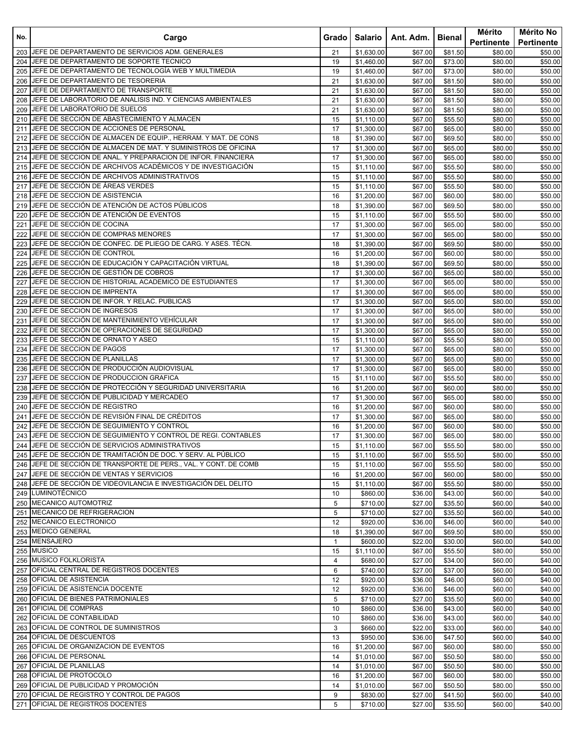| No.        | Cargo                                                                                       | Grado        | Salario                  | Ant. Adm.          | Bienal             | Mérito<br>Pertinente | Mérito No<br>Pertinente |
|------------|---------------------------------------------------------------------------------------------|--------------|--------------------------|--------------------|--------------------|----------------------|-------------------------|
|            | 203 JEFE DE DEPARTAMENTO DE SERVICIOS ADM. GENERALES                                        | 21           | \$1,630.00               | \$67.00            | \$81.50            | \$80.00              | \$50.00                 |
|            | 204 JEFE DE DEPARTAMENTO DE SOPORTE TECNICO                                                 | 19           | \$1,460.00               | \$67.00            | \$73.00            | \$80.00              | \$50.00                 |
| 205        | JEFE DE DEPARTAMENTO DE TECNOLOGÍA WEB Y MULTIMEDIA                                         | 19           | \$1,460.00               | \$67.00            | \$73.00            | \$80.00              | \$50.00                 |
| 206        | JEFE DE DEPARTAMENTO DE TESORERIA                                                           | 21           | \$1,630.00               | \$67.00            | \$81.50            | \$80.00              | \$50.00                 |
| 207        | JEFE DE DEPARTAMENTO DE TRANSPORTE                                                          | 21           | \$1,630.00               | \$67.00            | \$81.50            | \$80.00              | \$50.00                 |
| 208        | JEFE DE LABORATORIO DE ANALISIS IND. Y CIENCIAS AMBIENTALES                                 | 21           | \$1,630.00               | \$67.00            | \$81.50            | \$80.00              | \$50.00                 |
| 209        | JEFE DE LABORATORIO DE SUELOS                                                               | 21           | \$1,630.00               | \$67.00            | \$81.50            | \$80.00              | \$50.00                 |
| 210        | JEFE DE SECCIÓN DE ABASTECIMIENTO Y ALMACEN<br>JEFE DE SECCION DE ACCIONES DE PERSONAL      | 15           | \$1,110.00               | \$67.00            | \$55.50            | \$80.00              | \$50.00                 |
| 211<br>212 | JEFE DE SECCIÓN DE ALMACEN DE EQUIP., HERRAM. Y MAT. DE CONS                                | 17<br>18     | \$1,300.00<br>\$1,390.00 | \$67.00<br>\$67.00 | \$65.00<br>\$69.50 | \$80.00<br>\$80.00   | \$50.00<br>\$50.00      |
| 213        | JEFE DE SECCIÓN DE ALMACEN DE MAT. Y SUMINISTROS DE OFICINA                                 | 17           | \$1,300.00               | \$67.00            | \$65.00            | \$80.00              | \$50.00                 |
|            | 214 JEFE DE SECCION DE ANAL. Y PREPARACION DE INFOR. FINANCIERA                             | 17           | \$1,300.00               | \$67.00            | \$65.00            | \$80.00              | \$50.00                 |
|            | 215 JEFE DE SECCIÓN DE ARCHIVOS ACADÉMICOS Y DE INVESTIGACIÓN                               | 15           | \$1,110.00               | \$67.00            | \$55.50            | \$80.00              | \$50.00                 |
| 216        | JEFE DE SECCIÓN DE ARCHIVOS ADMINISTRATIVOS                                                 | 15           | \$1,110.00               | \$67.00            | \$55.50            | \$80.00              | \$50.00                 |
| 217        | JEFE DE SECCIÓN DE ÁREAS VERDES                                                             | 15           | \$1,110.00               | \$67.00            | \$55.50            | \$80.00              | \$50.00                 |
| 218        | JEFE DE SECCION DE ASISTENCIA                                                               | 16           | \$1,200.00               | \$67.00            | \$60.00            | \$80.00              | \$50.00                 |
| 219        | JEFE DE SECCIÓN DE ATENCIÓN DE ACTOS PÚBLICOS                                               | 18           | \$1,390.00               | \$67.00            | \$69.50            | \$80.00              | \$50.00                 |
| 220        | JEFE DE SECCIÓN DE ATENCIÓN DE EVENTOS                                                      | 15           | \$1,110.00               | \$67.00            | \$55.50            | \$80.00              | \$50.00                 |
| 221        | JEFE DE SECCIÓN DE COCINA                                                                   | 17           | \$1,300.00               | \$67.00            | \$65.00            | \$80.00              | \$50.00                 |
| 222        | JEFE DE SECCIÓN DE COMPRAS MENORES                                                          | 17           | \$1,300.00               | \$67.00            | \$65.00            | \$80.00              | \$50.00                 |
| 223        | JEFE DE SECCIÓN DE CONFEC. DE PLIEGO DE CARG. Y ASES. TÉCN.                                 | 18           | \$1,390.00               | \$67.00            | \$69.50            | \$80.00              | \$50.00                 |
| 224        | JEFE DE SECCIÓN DE CONTROL                                                                  | 16           | \$1,200.00               | \$67.00            | \$60.00            | \$80.00              | \$50.00                 |
| 225        | UEFE DE SECCIÓN DE EDUCACIÓN Y CAPACITACIÓN VIRTUAL<br>JEFE DE SECCIÓN DE GESTIÓN DE COBROS | 18           | \$1,390.00               | \$67.00            | \$69.50            | \$80.00              | \$50.00                 |
| 226<br>227 | JEFE DE SECCION DE HISTORIAL ACADEMICO DE ESTUDIANTES                                       | 17<br>17     | \$1,300.00<br>\$1,300.00 | \$67.00<br>\$67.00 | \$65.00<br>\$65.00 | \$80.00<br>\$80.00   | \$50.00<br>\$50.00      |
| 228        | JEFE DE SECCION DE IMPRENTA                                                                 | 17           | \$1,300.00               | \$67.00            | \$65.00            | \$80.00              | \$50.00                 |
| 229        | JEFE DE SECCION DE INFOR. Y RELAC. PUBLICAS                                                 | 17           | \$1,300.00               | \$67.00            | \$65.00            | \$80.00              | \$50.00                 |
| 230        | JEFE DE SECCION DE INGRESOS                                                                 | 17           | \$1,300.00               | \$67.00            | \$65.00            | \$80.00              | \$50.00                 |
| 231        | JEFE DE SECCIÓN DE MANTENIMIENTO VEHÍCULAR                                                  | 17           | \$1,300.00               | \$67.00            | \$65.00            | \$80.00              | \$50.00                 |
| 232        | JEFE DE SECCIÓN DE OPERACIONES DE SEGURIDAD                                                 | 17           | \$1,300.00               | \$67.00            | \$65.00            | \$80.00              | \$50.00                 |
| 233        | JEFE DE SECCIÓN DE ORNATO Y ASEO                                                            | 15           | \$1,110.00               | \$67.00            | \$55.50            | \$80.00              | \$50.00                 |
|            | 234 JEFE DE SECCION DE PAGOS                                                                | 17           | \$1,300.00               | \$67.00            | \$65.00            | \$80.00              | \$50.00                 |
|            | 235 JEFE DE SECCION DE PLANILLAS                                                            | 17           | \$1,300.00               | \$67.00            | \$65.00            | \$80.00              | \$50.00                 |
| 236        | JEFE DE SECCIÓN DE PRODUCCIÓN AUDIOVISUAL                                                   | 17           | \$1,300.00               | \$67.00            | \$65.00            | \$80.00              | \$50.00                 |
| 237        | JEFE DE SECCION DE PRODUCCION GRAFICA                                                       | 15           | \$1,110.00               | \$67.00            | \$55.50            | \$80.00              | \$50.00                 |
| 238        | JEFE DE SECCIÓN DE PROTECCIÓN Y SEGURIDAD UNIVERSITARIA                                     | 16           | \$1,200.00               | \$67.00            | \$60.00            | \$80.00              | \$50.00                 |
| 239<br>240 | JEFE DE SECCIÓN DE PUBLICIDAD Y MERCADEO<br>JEFE DE SECCIÓN DE REGISTRO                     | 17<br>16     | \$1,300.00<br>\$1,200.00 | \$67.00<br>\$67.00 | \$65.00<br>\$60.00 | \$80.00<br>\$80.00   | \$50.00<br>\$50.00      |
| 241        | JEFE DE SECCIÓN DE REVISIÓN FINAL DE CRÉDITOS                                               | 17           | \$1,300.00               | \$67.00            | \$65.00            | \$80.00              | \$50.00                 |
| 242        | JEFE DE SECCIÓN DE SEGUIMIENTO Y CONTROL                                                    | 16           | \$1,200.00               | \$67.00            | \$60.00            | \$80.00              | \$50.00                 |
| 243        | JEFE DE SECCION DE SEGUIMIENTO Y CONTROL DE REGI. CONTABLES                                 | 17           | \$1,300.00               | \$67.00            | \$65.00            | \$80.00              | \$50.00                 |
|            | 244 JEFE DE SECCIÓN DE SERVICIOS ADMINISTRATIVOS                                            | 15           | \$1,110.00               | \$67.00            | \$55.50            | \$80.00              | \$50.00                 |
|            | 245 JEFE DE SECCIÓN DE TRAMITACIÓN DE DOC. Y SERV. AL PÚBLICO                               | 15           | \$1,110.00               | \$67.00            | \$55.50            | \$80.00              | \$50.00                 |
|            | 246 JEFE DE SECCIÓN DE TRANSPORTE DE PERS., VAL. Y CONT. DE COMB                            | 15           | \$1,110.00               | \$67.00            | \$55.50            | \$80.00              | \$50.00                 |
| 247        | JEFE DE SECCIÓN DE VENTAS Y SERVICIOS                                                       | 16           | \$1,200.00               | \$67.00            | \$60.00            | \$80.00              | \$50.00                 |
|            | 248 JEFE DE SECCIÓN DE VIDEOVILANCIA E INVESTIGACIÓN DEL DELITO                             | 15           | \$1,110.00               | \$67.00            | \$55.50            | \$80.00              | \$50.00                 |
|            | 249 LUMINOTÉCNICO                                                                           | 10           | \$860.00                 | \$36.00            | \$43.00            | \$60.00              | \$40.00                 |
|            | 250 MECANICO AUTOMOTRIZ                                                                     | 5            | \$710.00                 | \$27.00            | \$35.50            | \$60.00              | \$40.00                 |
|            | 251 MECANICO DE REFRIGERACION<br>MECANICO ELECTRONICO                                       | 5            | \$710.00                 | \$27.00            | \$35.50            | \$60.00              | \$40.00                 |
| 252<br>253 | <b>MEDICO GENERAL</b>                                                                       | 12<br>18     | \$920.00<br>\$1,390.00   | \$36.00<br>\$67.00 | \$46.00<br>\$69.50 | \$60.00<br>\$80.00   | \$40.00<br>\$50.00      |
|            | 254 MENSAJERO                                                                               | $\mathbf{1}$ | \$600.00                 | \$22.00            | \$30.00            | \$60.00              | \$40.00                 |
|            | 255 MUSICO                                                                                  | 15           | \$1,110.00               | \$67.00            | \$55.50            | \$80.00              | \$50.00                 |
|            | 256 MUSICO FOLKLORISTA                                                                      | 4            | \$680.00                 | \$27.00            | \$34.00            | \$60.00              | \$40.00                 |
| 257        | OFICIAL CENTRAL DE REGISTROS DOCENTES                                                       | 6            | \$740.00                 | \$27.00            | \$37.00            | \$60.00              | \$40.00                 |
|            | 258 OFICIAL DE ASISTENCIA                                                                   | 12           | \$920.00                 | \$36.00            | \$46.00            | \$60.00              | \$40.00                 |
|            | 259 OFICIAL DE ASISTENCIA DOCENTE                                                           | 12           | \$920.00                 | \$36.00            | \$46.00            | \$60.00              | \$40.00                 |
| 260        | OFICIAL DE BIENES PATRIMONIALES                                                             | 5            | \$710.00                 | \$27.00            | \$35.50            | \$60.00              | \$40.00                 |
|            | 261 OFICIAL DE COMPRAS                                                                      | 10           | \$860.00                 | \$36.00            | \$43.00            | \$60.00              | \$40.00                 |
| 262        | OFICIAL DE CONTABILIDAD                                                                     | 10           | \$860.00                 | \$36.00            | \$43.00            | \$60.00              | \$40.00                 |
| 263        | OFICIAL DE CONTROL DE SUMINISTROS                                                           | 3            | \$660.00                 | \$22.00            | \$33.00            | \$60.00              | \$40.00                 |
|            | 264 OFICIAL DE DESCUENTOS                                                                   | 13           | \$950.00                 | \$36.00            | \$47.50            | \$60.00              | \$40.00                 |
|            | 265 OFICIAL DE ORGANIZACION DE EVENTOS<br>266 OFICIAL DE PERSONAL                           | 16           | \$1,200.00               | \$67.00            | \$60.00            | \$80.00              | \$50.00                 |
| 267        | OFICIAL DE PLANILLAS                                                                        | 14<br>14     | \$1,010.00<br>\$1,010.00 | \$67.00<br>\$67.00 | \$50.50<br>\$50.50 | \$80.00<br>\$80.00   | \$50.00<br>\$50.00      |
|            | 268 OFICIAL DE PROTOCOLO                                                                    | 16           | \$1,200.00               | \$67.00            | \$60.00            | \$80.00              | \$50.00                 |
|            | 269 OFICIAL DE PUBLICIDAD Y PROMOCIÓN                                                       | 14           | \$1,010.00               | \$67.00            | \$50.50            | \$80.00              | \$50.00                 |
| 270        | OFICIAL DE REGISTRO Y CONTROL DE PAGOS                                                      | 9            | \$830.00                 | \$27.00            | \$41.50            | \$60.00              | \$40.00                 |
|            | 271 OFICIAL DE REGISTROS DOCENTES                                                           | 5            | \$710.00                 | \$27.00            | \$35.50            | \$60.00              | $\sqrt{$40.00}$         |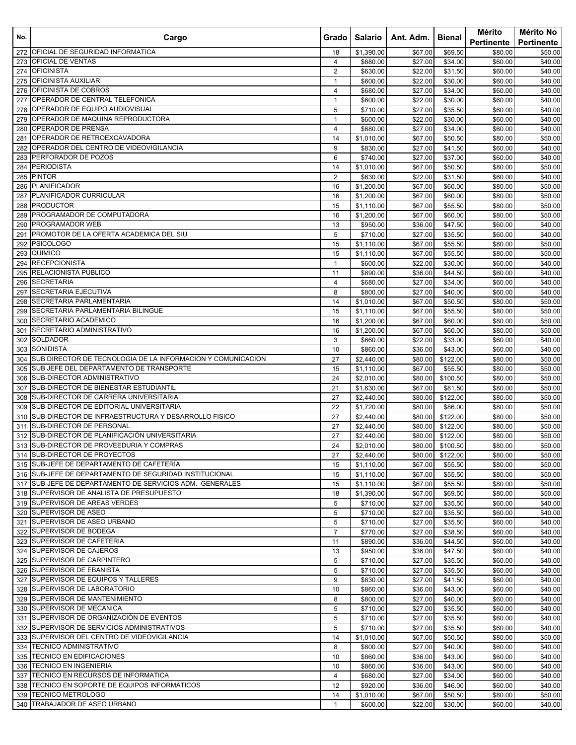| No.        | Cargo                                                                                    | Gradol         | Salario                  | Ant. Adm. I        | Bienal                       | Mérito<br><b>Pertinente</b> | Mérito No<br><b>Pertinente</b> |
|------------|------------------------------------------------------------------------------------------|----------------|--------------------------|--------------------|------------------------------|-----------------------------|--------------------------------|
| 272        | OFICIAL DE SEGURIDAD INFORMATICA                                                         | 18             | \$1,390.00               | \$67.00            | \$69.50                      | \$80.00                     | \$50.00                        |
| 273        | <b>OFICIAL DE VENTAS</b>                                                                 | 4              | \$680.00                 | \$27.00            | \$34.00                      | \$60.00                     | \$40.00                        |
| 274        | <b>OFICINISTA</b>                                                                        | $\overline{2}$ | \$630.00                 | \$22.00            | \$31.50                      | \$60.00                     | \$40.00                        |
| 275        | OFICINISTA AUXILIAR                                                                      | $\mathbf{1}$   | \$600.00                 | \$22.00            | \$30.00                      | \$60.00                     | \$40.00                        |
| 276        | OFICINISTA DE COBROS                                                                     | 4              | \$680.00                 | \$27.00            | \$34.00                      | \$60.00                     | \$40.00                        |
| 277        | OPERADOR DE CENTRAL TELEFONICA                                                           | $\mathbf{1}$   | \$600.00                 | \$22.00            | \$30.00                      | \$60.00                     | \$40.00                        |
| 278        | OPERADOR DE EQUIPO AUDIOVISUAL                                                           | 5              | \$710.00                 | \$27.00            | \$35.50                      | \$60.00                     | \$40.00                        |
| 279        | OPERADOR DE MAQUINA REPRODUCTORA                                                         | $\mathbf{1}$   | \$600.00                 | \$22.00            | \$30.00                      | \$60.00                     | \$40.00                        |
| 280        | OPERADOR DE PRENSA                                                                       | 4              | \$680.00                 | \$27.00            | \$34.00                      | \$60.00                     | \$40.00                        |
| 281        | OPERADOR DE RETROEXCAVADORA<br>OPERADOR DEL CENTRO DE VIDEOVIGILANCIA                    | 14             | \$1,010.00               | \$67.00            | \$50.50                      | \$80.00                     | \$50.00                        |
| 282        | PERFORADOR DE POZOS                                                                      | 9<br>6         | \$830.00                 | \$27.00<br>\$27.00 | \$41.50                      | \$60.00                     | \$40.00                        |
| 283<br>284 | <b>PERIODISTA</b>                                                                        | 14             | \$740.00<br>\$1,010.00   | \$67.00            | \$37.00<br>\$50.50           | \$60.00<br>\$80.00          | \$40.00<br>\$50.00             |
| 285        | <b>PINTOR</b>                                                                            | $\overline{2}$ | \$630.00                 | \$22.00            | \$31.50                      | \$60.00                     | \$40.00                        |
| 286        | <b>PLANIFICADOR</b>                                                                      | 16             | \$1,200.00               | \$67.00            | \$60.00                      | \$80.00                     | \$50.00                        |
| 287        | PLANIFICADOR CURRICULAR                                                                  | 16             | \$1,200.00               | \$67.00            | \$60.00                      | \$80.00                     | \$50.00                        |
| 288        | <b>PRODUCTOR</b>                                                                         | 15             | \$1,110.00               | \$67.00            | \$55.50                      | \$80.00                     | \$50.00                        |
| 289        | PROGRAMADOR DE COMPUTADORA                                                               | 16             | \$1,200.00               | \$67.00            | \$60.00                      | \$80.00                     | \$50.00                        |
| 290        | PROGRAMADOR WEB                                                                          | 13             | \$950.00                 | \$36.00            | \$47.50                      | \$60.00                     | \$40.00                        |
| 291        | PROMOTOR DE LA OFERTA ACADEMICA DEL SIU                                                  | 5              | \$710.00                 | \$27.00            | \$35.50                      | \$60.00                     | \$40.00                        |
| 292        | <b>PSICOLOGO</b>                                                                         | 15             | \$1,110.00               | \$67.00            | \$55.50                      | \$80.00                     | \$50.00                        |
| 293        | QUIMICO                                                                                  | 15             | \$1,110.00               | \$67.00            | \$55.50                      | \$80.00                     | \$50.00                        |
| 294        | <b>RECEPCIONISTA</b>                                                                     | $\mathbf{1}$   | \$600.00                 | \$22.00            | \$30.00                      | \$60.00                     | \$40.00                        |
| 295        | RELACIONISTA PUBLICO                                                                     | 11             | \$890.00                 | \$36.00            | \$44.50                      | \$60.00                     | \$40.00                        |
| 296        | <b>SECRETARIA</b>                                                                        | 4              | \$680.00                 | \$27.00            | \$34.00                      | \$60.00                     | \$40.00                        |
| 297        | SECRETARIA EJECUTIVA                                                                     | 8              | \$800.00                 | \$27.00            | \$40.00                      | \$60.00                     | \$40.00                        |
| 298        | SECRETARIA PARLAMENTARIA                                                                 | 14             | \$1,010.00               | \$67.00            | \$50.50                      | \$80.00                     | \$50.00                        |
| 299        | SECRETARIA PARLAMENTARIA BILINGUE                                                        | 15             | \$1,110.00               | \$67.00            | \$55.50                      | \$80.00                     | \$50.00                        |
| 300        | SECRETARIO ACADEMICO                                                                     | 16             | \$1,200.00               | \$67.00            | \$60.00                      | \$80.00                     | \$50.00                        |
| 301        | SECRETARIO ADMINISTRATIVO                                                                | 16             | \$1,200.00               | \$67.00            | \$60.00                      | \$80.00                     | \$50.00                        |
| 302        | <b>SOLDADOR</b>                                                                          | 3              | \$660.00                 | \$22.00            | \$33.00                      | \$60.00                     | \$40.00                        |
| 303        | <b>SONIDISTA</b>                                                                         | 10             | \$860.00                 | \$36.00            | \$43.00                      | \$60.00                     | \$40.00                        |
| 304        | SUB DIRECTOR DE TECNOLOGIA DE LA INFORMACION Y COMUNICACION                              | 27             | \$2,440.00               | \$80.00            | \$122.00                     | \$80.00                     | \$50.00                        |
| 305        | SUB JEFE DEL DEPARTAMENTO DE TRANSPORTE                                                  | 15             | \$1,110.00               | \$67.00            | \$55.50                      | \$80.00                     | \$50.00                        |
| 306        | SUB-DIRECTOR ADMINISTRATIVO                                                              | 24             | \$2,010.00               | \$80.00            | \$100.50                     | \$80.00                     | \$50.00                        |
| 307        | SUB-DIRECTOR DE BIENESTAR ESTUDIANTIL                                                    | 21             | \$1,630.00               | \$67.00            | \$81.50                      | \$80.00                     | \$50.00                        |
| 308        | SUB-DIRECTOR DE CARRERA UNIVERSITARIA                                                    | 27             | \$2,440.00               | \$80.00            | \$122.00                     | \$80.00                     | \$50.00                        |
| 309        | SUB-DIRECTOR DE EDITORIAL UNIVERSITARIA                                                  | 22             | \$1,720.00               | \$80.00            | \$86.00                      | \$80.00                     | \$50.00                        |
| 310        | SUB-DIRECTOR DE INFRAESTRUCTURA Y DESARROLLO FISICO<br>SUB-DIRECTOR DE PERSONAL          | 27             | \$2,440.00               | \$80.00            | \$122.00                     | \$80.00                     | \$50.00                        |
| 311        |                                                                                          | 27             | \$2,440.00               | \$80.00            | \$122.00                     | \$80.00                     | \$50.00                        |
| 312        | SUB-DIRECTOR DE PLANIFICACIÓN UNIVERSITARIA<br>313 SUB-DIRECTOR DE PROVEEDURIA Y COMPRAS | 27<br>24       | \$2,440.00<br>\$2,010.00 | \$80.00            | \$122.00<br>\$80.00 \$100.50 | \$80.00<br>\$80.00          | \$50.00<br>\$50.00             |
|            | 314 SUB-DIRECTOR DE PROYECTOS                                                            | 27             | \$2,440.00               | \$80.00            | \$122.00                     | \$80.00                     | \$50.00                        |
|            | 315 SUB-JEFE DE DEPARTAMENTO DE CAFETERÍA                                                | 15             | \$1,110.00               | \$67.00            | \$55.50                      | \$80.00                     | \$50.00                        |
|            | 316 SUB-JEFE DE DEPARTAMENTO DE SEGURIDAD INSTITUCIONAL                                  | 15             | \$1,110.00               | \$67.00            | \$55.50                      | \$80.00                     | \$50.00                        |
|            | 317 SUB-JEFE DE DEPARTAMENTO DE SERVICIOS ADM. GENERALES                                 | 15             | \$1,110.00               | \$67.00            | \$55.50                      | \$80.00                     | \$50.00                        |
|            | 318 SUPERVISOR DE ANALISTA DE PRESUPUESTO                                                | 18             | \$1,390.00               | \$67.00            | \$69.50                      | \$80.00                     | \$50.00                        |
|            | 319 SUPERVISOR DE AREAS VERDES                                                           | 5              | \$710.00                 | \$27.00            | \$35.50                      | \$60.00                     | \$40.00                        |
| 320        | SUPERVISOR DE ASEO                                                                       | 5              | \$710.00                 | \$27.00            | \$35.50                      | \$60.00                     | \$40.00                        |
|            | 321 SUPERVISOR DE ASEO URBANO                                                            | 5              | \$710.00                 | \$27.00            | \$35.50                      | \$60.00                     | \$40.00                        |
| 322        | SUPERVISOR DE BODEGA                                                                     | $\overline{7}$ | \$770.00                 | \$27.00            | \$38.50                      | \$60.00                     | \$40.00                        |
|            | 323 SUPERVISOR DE CAFETERIA                                                              | 11             | \$890.00                 | \$36.00            | \$44.50                      | \$60.00                     | \$40.00                        |
|            | 324 SUPERVISOR DE CAJEROS                                                                | 13             | \$950.00                 | \$36.00            | \$47.50                      | \$60.00                     | \$40.00                        |
| 325        | SUPERVISOR DE CARPINTERO                                                                 | 5              | \$710.00                 | \$27.00            | \$35.50                      | \$60.00                     | \$40.00                        |
|            | 326 SUPERVISOR DE EBANISTA                                                               | 5              | \$710.00                 | \$27.00            | \$35.50                      | \$60.00                     | \$40.00                        |
| 327        | SUPERVISOR DE EQUIPOS Y TALLERES                                                         | 9              | \$830.00                 | \$27.00            | \$41.50                      | \$60.00                     | \$40.00                        |
| 328        | SUPERVISOR DE LABORATORIO                                                                | 10             | \$860.00                 | \$36.00            | \$43.00                      | \$60.00                     | \$40.00                        |
| 329        | SUPERVISOR DE MANTENIMIENTO                                                              | 8              | \$800.00                 | \$27.00            | \$40.00                      | \$60.00                     | \$40.00                        |
|            | 330 SUPERVISOR DE MECANICA                                                               | 5              | \$710.00                 | \$27.00            | \$35.50                      | \$60.00                     | \$40.00                        |
|            | 331 SUPERVISOR DE ORGANIZACIÓN DE EVENTOS                                                | 5              | \$710.00                 | \$27.00            | \$35.50                      | \$60.00                     | \$40.00                        |
|            | 332 SUPERVISOR DE SERVICIOS ADMINISTRATIVOS                                              | 5              | \$710.00                 | \$27.00            | \$35.50                      | \$60.00                     | \$40.00                        |
|            | 333 SUPERVISOR DEL CENTRO DE VIDEOVIGILANCIA                                             | 14             | \$1,010.00               | \$67.00            | \$50.50                      | \$80.00                     | \$50.00                        |
| 334        | <b>TECNICO ADMINISTRATIVO</b>                                                            | 8              | \$800.00                 | \$27.00            | \$40.00                      | \$60.00                     | \$40.00                        |
| 335        | TECNICO EN EDIFICACIONES                                                                 | 10             | \$860.00                 | \$36.00            | \$43.00                      | \$60.00                     | \$40.00                        |
|            | 336 TECNICO EN INGENIERIA                                                                | 10             | \$860.00                 | \$36.00            | \$43.00                      | \$60.00                     | \$40.00                        |
| 337        | TECNICO EN RECURSOS DE INFORMATICA                                                       | 4              | \$680.00                 | \$27.00            | \$34.00                      | \$60.00                     | \$40.00                        |
|            | 338 TECNICO EN SOPORTE DE EQUIPOS INFORMATICOS                                           | 12             | \$920.00                 | \$36.00            | \$46.00                      | \$60.00                     | \$40.00                        |
| 339        | <b>TECNICO METROLOGO</b>                                                                 | 14             | \$1,010.00               | \$67.00            | \$50.50                      | \$80.00                     | \$50.00                        |
| 340        | TRABAJADOR DE ASEO URBANO                                                                | $\mathbf{1}$   | \$600.00                 | \$22.00            | \$30.00                      | \$60.00                     | \$40.00                        |